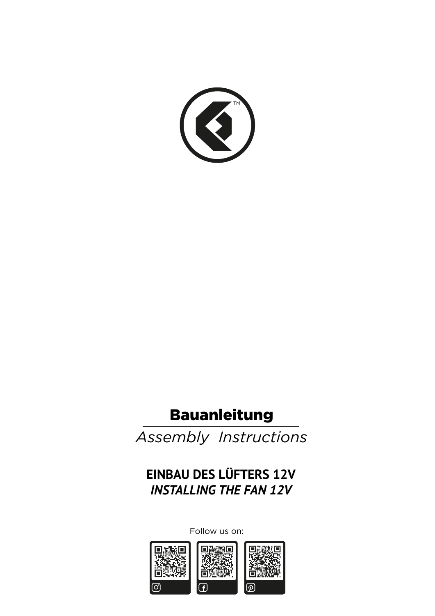

# Bauanleitung

*Assembly Instructions*

**EINBAU DES LÜFTERS 12V** *INSTALLING THE FAN 12V*

Follow us on:

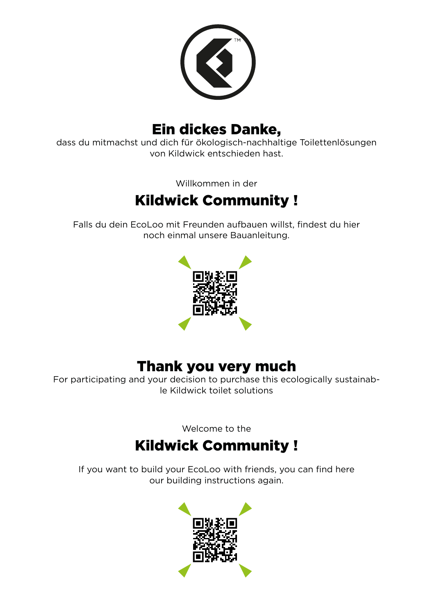

### Ein dickes Danke,

dass du mitmachst und dich für ökologisch-nachhaltige Toilettenlösungen von Kildwick entschieden hast.

Willkommen in der

# Kildwick Community !

Falls du dein EcoLoo mit Freunden aufbauen willst, findest du hier noch einmal unsere Bauanleitung.



### Thank you very much

For participating and your decision to purchase this ecologically sustainable Kildwick toilet solutions

Welcome to the

## Kildwick Community !

If you want to build your EcoLoo with friends, you can find here our building instructions again.

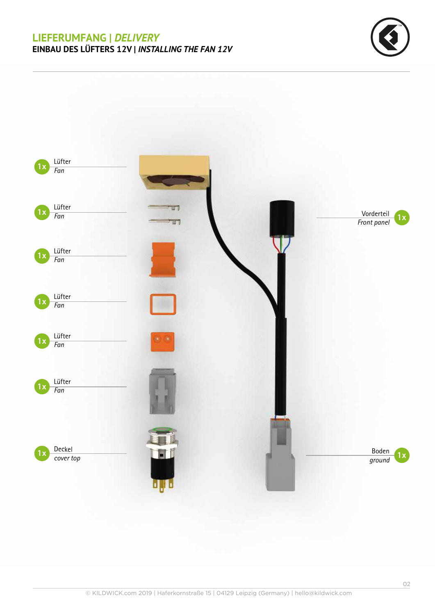#### **LIEFERUMFANG |** *DELIVERY* **EINBAU DES LÜFTERS 12V |** *INSTALLING THE FAN 12V*



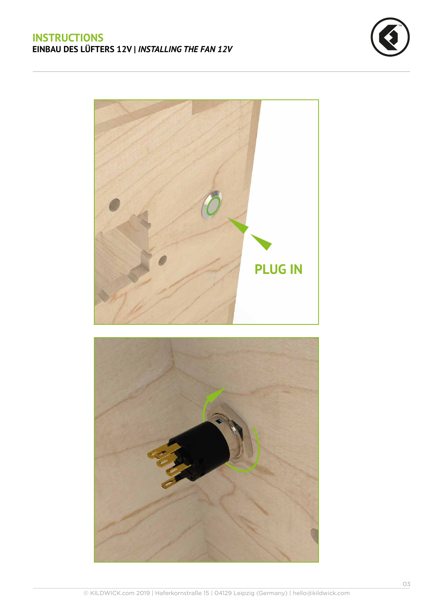



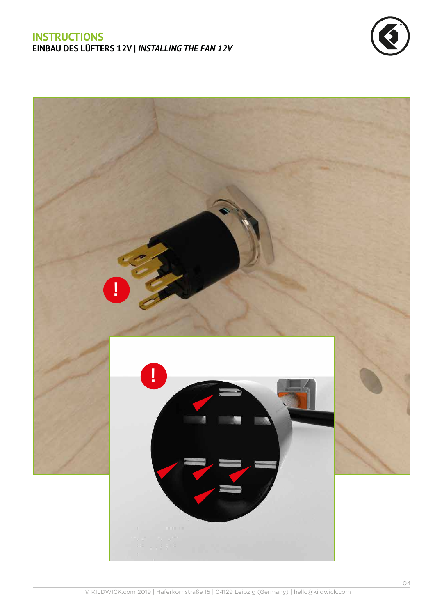

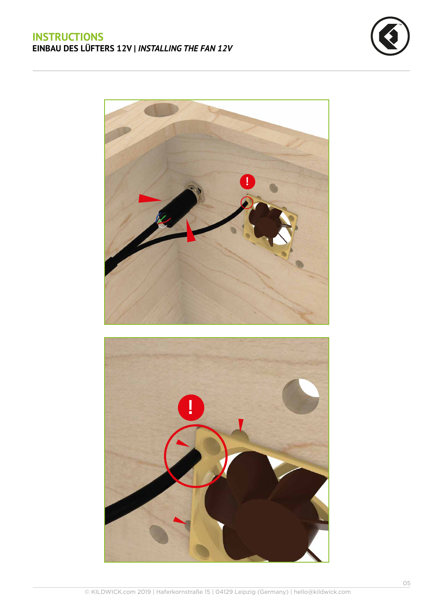

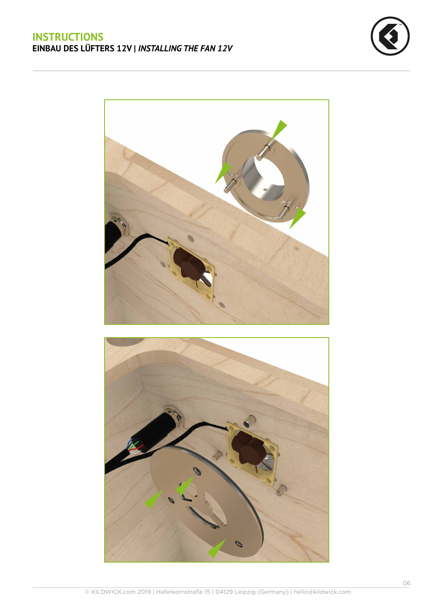



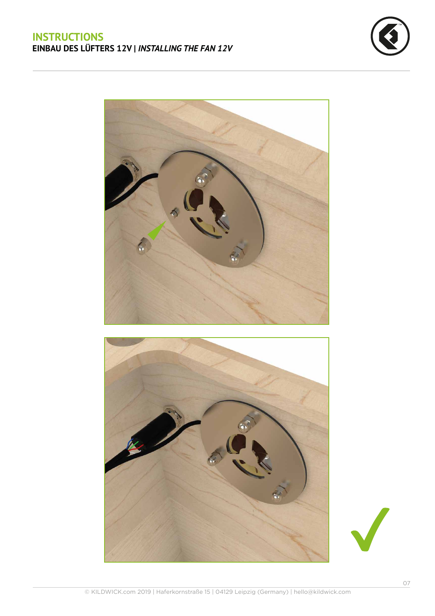





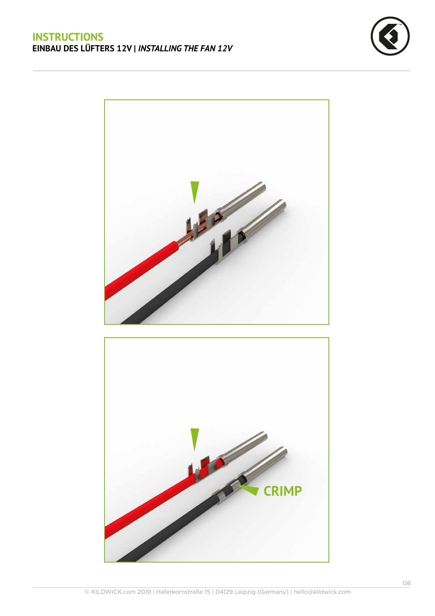



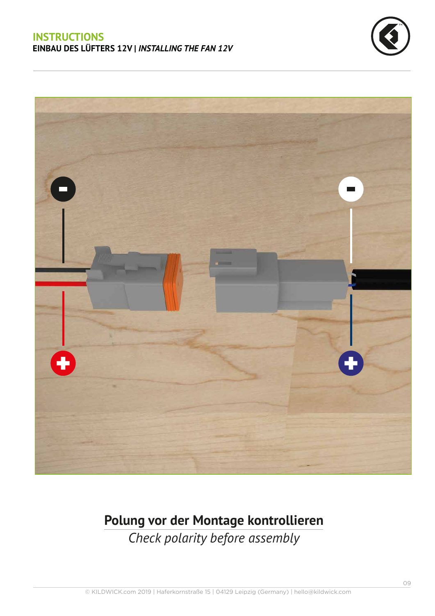



# **Polung vor der Montage kontrollieren**

*Check polarity before assembly*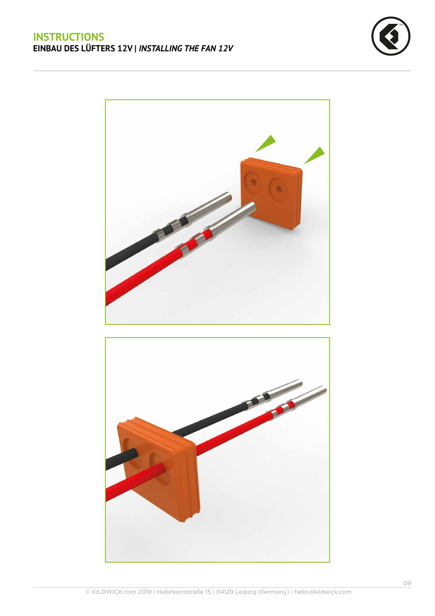



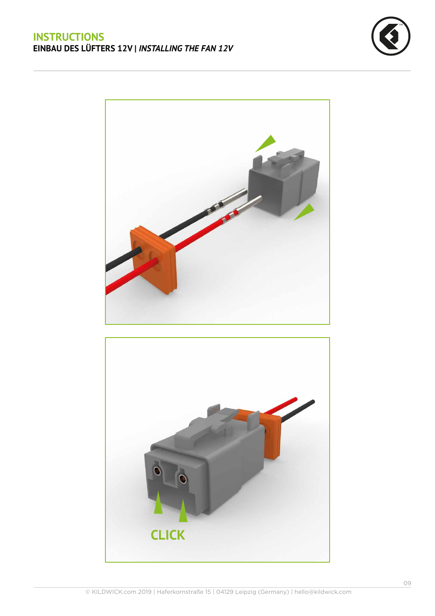



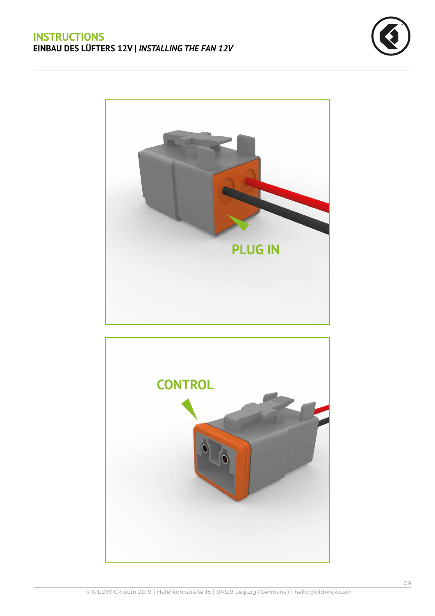



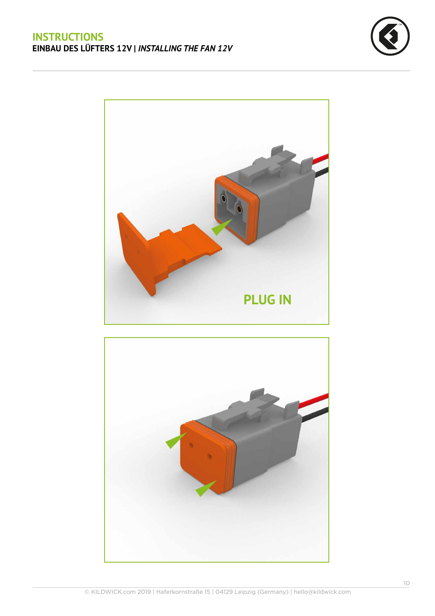